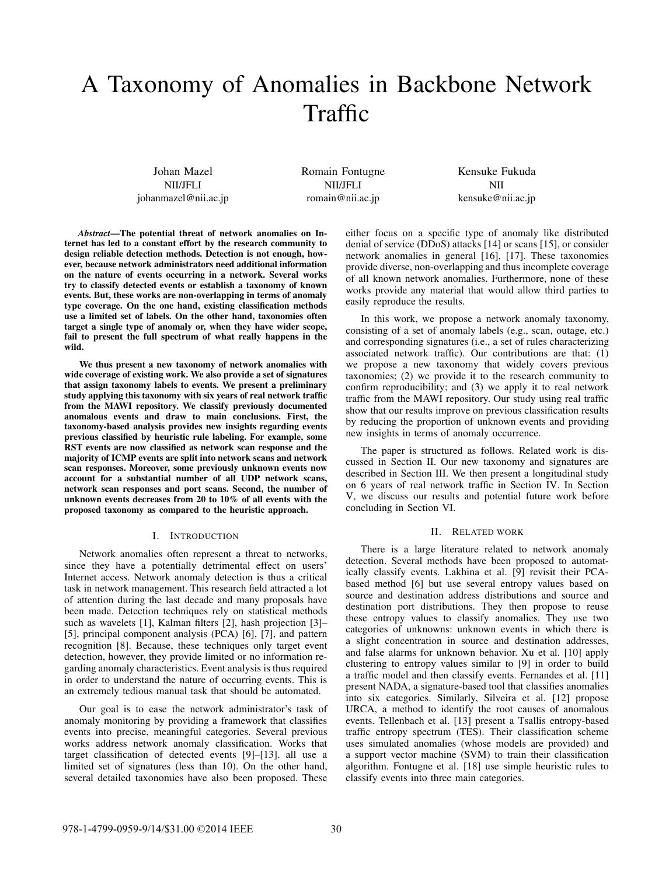# A Taxonomy of Anomalies in Backbone Network Traffic

Johan Mazel NII/JFLI johanmazel@nii.ac.jp Romain Fontugne NII/JFLI romain@nii.ac.jp

Kensuke Fukuda NII kensuke@nii.ac.jp

*Abstract*—The potential threat of network anomalies on Internet has led to a constant effort by the research community to design reliable detection methods. Detection is not enough, however, because network administrators need additional information on the nature of events occurring in a network. Several works try to classify detected events or establish a taxonomy of known events. But, these works are non-overlapping in terms of anomaly type coverage. On the one hand, existing classification methods use a limited set of labels. On the other hand, taxonomies often target a single type of anomaly or, when they have wider scope, fail to present the full spectrum of what really happens in the wild.

We thus present a new taxonomy of network anomalies with wide coverage of existing work. We also provide a set of signatures that assign taxonomy labels to events. We present a preliminary study applying this taxonomy with six years of real network traffic from the MAWI repository. We classify previously documented anomalous events and draw to main conclusions. First, the taxonomy-based analysis provides new insights regarding events previous classified by heuristic rule labeling. For example, some RST events are now classified as network scan response and the majority of ICMP events are split into network scans and network scan responses. Moreover, some previously unknown events now account for a substantial number of all UDP network scans, network scan responses and port scans. Second, the number of unknown events decreases from 20 to 10% of all events with the proposed taxonomy as compared to the heuristic approach.

### I. INTRODUCTION

Network anomalies often represent a threat to networks, since they have a potentially detrimental effect on users' Internet access. Network anomaly detection is thus a critical task in network management. This research field attracted a lot of attention during the last decade and many proposals have been made. Detection techniques rely on statistical methods such as wavelets [1], Kalman filters [2], hash projection [3]– [5], principal component analysis (PCA) [6], [7], and pattern recognition [8]. Because, these techniques only target event detection, however, they provide limited or no information regarding anomaly characteristics. Event analysis is thus required in order to understand the nature of occurring events. This is an extremely tedious manual task that should be automated.

Our goal is to ease the network administrator's task of anomaly monitoring by providing a framework that classifies events into precise, meaningful categories. Several previous works address network anomaly classification. Works that target classification of detected events [9]–[13]. all use a limited set of signatures (less than 10). On the other hand, several detailed taxonomies have also been proposed. These either focus on a specific type of anomaly like distributed denial of service (DDoS) attacks [14] or scans [15], or consider network anomalies in general [16], [17]. These taxonomies provide diverse, non-overlapping and thus incomplete coverage of all known network anomalies. Furthermore, none of these works provide any material that would allow third parties to easily reproduce the results.

In this work, we propose a network anomaly taxonomy, consisting of a set of anomaly labels (e.g., scan, outage, etc.) and corresponding signatures (i.e., a set of rules characterizing associated network traffic). Our contributions are that: (1) we propose a new taxonomy that widely covers previous taxonomies; (2) we provide it to the research community to confirm reproducibility; and (3) we apply it to real network traffic from the MAWI repository. Our study using real traffic show that our results improve on previous classification results by reducing the proportion of unknown events and providing new insights in terms of anomaly occurrence.

The paper is structured as follows. Related work is discussed in Section II. Our new taxonomy and signatures are described in Section III. We then present a longitudinal study on 6 years of real network traffic in Section IV. In Section V, we discuss our results and potential future work before concluding in Section VI.

#### II. RELATED WORK

There is a large literature related to network anomaly detection. Several methods have been proposed to automatically classify events. Lakhina et al. [9] revisit their PCAbased method [6] but use several entropy values based on source and destination address distributions and source and destination port distributions. They then propose to reuse these entropy values to classify anomalies. They use two categories of unknowns: unknown events in which there is a slight concentration in source and destination addresses, and false alarms for unknown behavior. Xu et al. [10] apply clustering to entropy values similar to [9] in order to build a traffic model and then classify events. Fernandes et al. [11] present NADA, a signature-based tool that classifies anomalies into six categories. Similarly, Silveira et al. [12] propose URCA, a method to identify the root causes of anomalous events. Tellenbach et al. [13] present a Tsallis entropy-based traffic entropy spectrum (TES). Their classification scheme uses simulated anomalies (whose models are provided) and a support vector machine (SVM) to train their classification algorithm. Fontugne et al. [18] use simple heuristic rules to classify events into three main categories.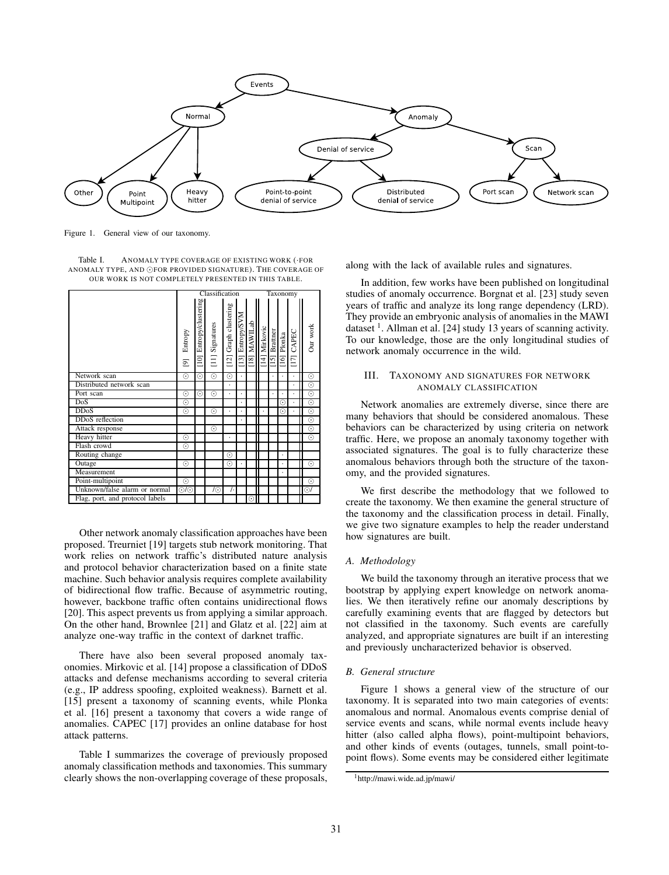

Figure 1. General view of our taxonomy.

Table I. ANOMALY TYPE COVERAGE OF EXISTING WORK (·FOR ANOMALY TYPE, AND ⊙FOR PROVIDED SIGNATURE). THE COVERAGE OF OUR WORK IS NOT COMPLETELY PRESENTED IN THIS TABLE.

|                                 | Classification                     |                            |                     |                       |                  |             |                      | Taxonomy             |                  |                         |               |  |
|---------------------------------|------------------------------------|----------------------------|---------------------|-----------------------|------------------|-------------|----------------------|----------------------|------------------|-------------------------|---------------|--|
|                                 | Entropy<br>$\overline{\mathbb{E}}$ | Entropy/clustering<br>[10] | Signatures<br>$\Xi$ | [12] Graph clustering | [13] Entropy/SVM | 18] MAWILab | [14] Mirkovic        | Brattner<br>$[15]$   | Plonka<br>$[16]$ | CAPEC<br>$\overline{E}$ | Our work      |  |
| Network scan                    | ⊙                                  | ⊙                          | $\odot$             | $_{\odot}$            |                  |             |                      | $\ddot{\phantom{0}}$ | ٠                |                         | $_{\odot}$    |  |
| Distributed network scan        |                                    |                            |                     | $\bullet$             |                  |             |                      |                      |                  | ٠                       | $_{\odot}$    |  |
| Port scan                       | ⊙                                  | ⊙                          | ⊙                   | $\ddot{\phantom{0}}$  | ٠                |             |                      |                      | ۰                |                         | $_{\odot}$    |  |
| DoS                             | ⊙                                  |                            |                     |                       | ۰                |             |                      |                      | ⊙                |                         | $\bar{\circ}$ |  |
| DDoS                            | ⊙                                  |                            | ⊙                   | $\ddot{\phantom{0}}$  | ۰                |             | $\ddot{\phantom{0}}$ |                      | ⊙                | ٠                       | $\odot$       |  |
| DDoS reflection                 |                                    |                            |                     |                       | ۰                |             |                      |                      |                  |                         | $\odot$       |  |
| Attack response                 |                                    |                            | $\odot$             |                       |                  |             |                      |                      |                  |                         | $_{\odot}$    |  |
| Heavy hitter                    | ⊙                                  |                            |                     | $\ddot{\phantom{0}}$  |                  |             |                      |                      |                  |                         | $\odot$       |  |
| Flash crowd                     | ⊙                                  |                            |                     |                       |                  |             |                      |                      |                  |                         |               |  |
| Routing change                  |                                    |                            |                     | ⊙                     |                  |             |                      |                      | ٠                |                         |               |  |
| Outage                          | ⊙                                  |                            |                     | $_{\odot}$            |                  |             |                      |                      |                  |                         | $\odot$       |  |
| Measurement                     |                                    |                            |                     |                       |                  |             |                      |                      | ٠                |                         |               |  |
| Point-multipoint                | $_{\odot}$                         |                            |                     |                       |                  |             |                      |                      |                  |                         | $\odot$       |  |
| Unknown/false alarm or normal   | $\odot$ / $\odot$                  |                            | 10                  | j.                    |                  |             |                      |                      |                  |                         | ⊙/            |  |
| Flag, port, and protocol labels |                                    |                            |                     |                       |                  | $\odot$     |                      |                      |                  |                         |               |  |

Other network anomaly classification approaches have been proposed. Treurniet [19] targets stub network monitoring. That work relies on network traffic's distributed nature analysis and protocol behavior characterization based on a finite state machine. Such behavior analysis requires complete availability of bidirectional flow traffic. Because of asymmetric routing, however, backbone traffic often contains unidirectional flows [20]. This aspect prevents us from applying a similar approach. On the other hand, Brownlee [21] and Glatz et al. [22] aim at analyze one-way traffic in the context of darknet traffic.

There have also been several proposed anomaly taxonomies. Mirkovic et al. [14] propose a classification of DDoS attacks and defense mechanisms according to several criteria (e.g., IP address spoofing, exploited weakness). Barnett et al. [15] present a taxonomy of scanning events, while Plonka et al. [16] present a taxonomy that covers a wide range of anomalies. CAPEC [17] provides an online database for host attack patterns.

Table I summarizes the coverage of previously proposed anomaly classification methods and taxonomies. This summary clearly shows the non-overlapping coverage of these proposals, along with the lack of available rules and signatures.

In addition, few works have been published on longitudinal studies of anomaly occurrence. Borgnat et al. [23] study seven years of traffic and analyze its long range dependency (LRD). They provide an embryonic analysis of anomalies in the MAWI dataset <sup>1</sup>. Allman et al. [24] study 13 years of scanning activity. To our knowledge, those are the only longitudinal studies of network anomaly occurrence in the wild.

### III. TAXONOMY AND SIGNATURES FOR NETWORK ANOMALY CLASSIFICATION

Network anomalies are extremely diverse, since there are many behaviors that should be considered anomalous. These behaviors can be characterized by using criteria on network traffic. Here, we propose an anomaly taxonomy together with associated signatures. The goal is to fully characterize these anomalous behaviors through both the structure of the taxonomy, and the provided signatures.

We first describe the methodology that we followed to create the taxonomy. We then examine the general structure of the taxonomy and the classification process in detail. Finally, we give two signature examples to help the reader understand how signatures are built.

# *A. Methodology*

We build the taxonomy through an iterative process that we bootstrap by applying expert knowledge on network anomalies. We then iteratively refine our anomaly descriptions by carefully examining events that are flagged by detectors but not classified in the taxonomy. Such events are carefully analyzed, and appropriate signatures are built if an interesting and previously uncharacterized behavior is observed.

### *B. General structure*

Figure 1 shows a general view of the structure of our taxonomy. It is separated into two main categories of events: anomalous and normal. Anomalous events comprise denial of service events and scans, while normal events include heavy hitter (also called alpha flows), point-multipoint behaviors, and other kinds of events (outages, tunnels, small point-topoint flows). Some events may be considered either legitimate

<sup>1</sup>http://mawi.wide.ad.jp/mawi/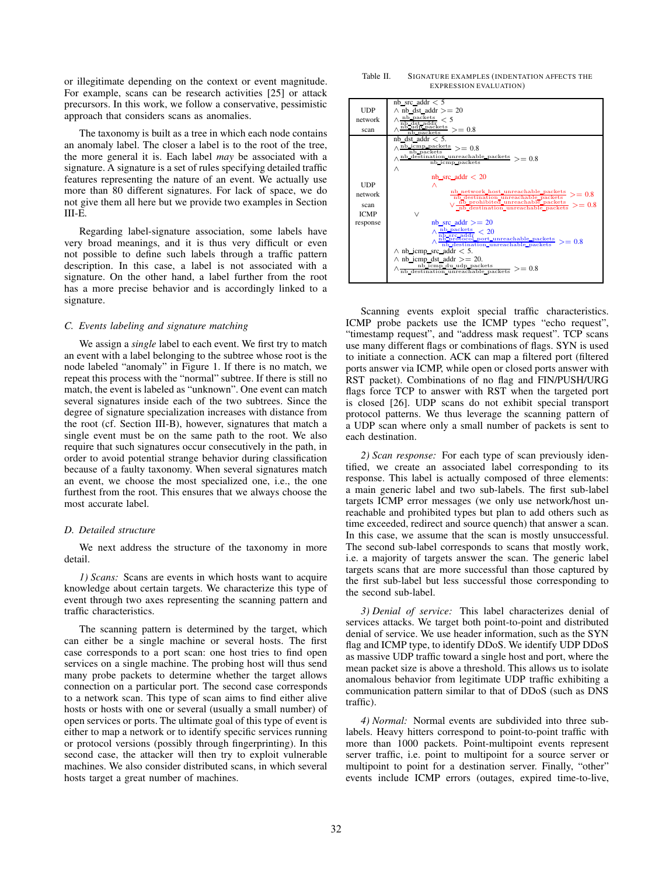or illegitimate depending on the context or event magnitude. For example, scans can be research activities [25] or attack precursors. In this work, we follow a conservative, pessimistic approach that considers scans as anomalies.

The taxonomy is built as a tree in which each node contains an anomaly label. The closer a label is to the root of the tree, the more general it is. Each label *may* be associated with a signature. A signature is a set of rules specifying detailed traffic features representing the nature of an event. We actually use more than 80 different signatures. For lack of space, we do not give them all here but we provide two examples in Section III-E.

Regarding label-signature association, some labels have very broad meanings, and it is thus very difficult or even not possible to define such labels through a traffic pattern description. In this case, a label is not associated with a signature. On the other hand, a label further from the root has a more precise behavior and is accordingly linked to a signature.

# *C. Events labeling and signature matching*

We assign a *single* label to each event. We first try to match an event with a label belonging to the subtree whose root is the node labeled "anomaly" in Figure 1. If there is no match, we repeat this process with the "normal" subtree. If there is still no match, the event is labeled as "unknown". One event can match several signatures inside each of the two subtrees. Since the degree of signature specialization increases with distance from the root (cf. Section III-B), however, signatures that match a single event must be on the same path to the root. We also require that such signatures occur consecutively in the path, in order to avoid potential strange behavior during classification because of a faulty taxonomy. When several signatures match an event, we choose the most specialized one, i.e., the one furthest from the root. This ensures that we always choose the most accurate label.

# *D. Detailed structure*

We next address the structure of the taxonomy in more detail.

*1) Scans:* Scans are events in which hosts want to acquire knowledge about certain targets. We characterize this type of event through two axes representing the scanning pattern and traffic characteristics.

The scanning pattern is determined by the target, which can either be a single machine or several hosts. The first case corresponds to a port scan: one host tries to find open services on a single machine. The probing host will thus send many probe packets to determine whether the target allows connection on a particular port. The second case corresponds to a network scan. This type of scan aims to find either alive hosts or hosts with one or several (usually a small number) of open services or ports. The ultimate goal of this type of event is either to map a network or to identify specific services running or protocol versions (possibly through fingerprinting). In this second case, the attacker will then try to exploit vulnerable machines. We also consider distributed scans, in which several hosts target a great number of machines.

#### Table II. SIGNATURE EXAMPLES (INDENTATION AFFECTS THE EXPRESSION EVALUATION)



Scanning events exploit special traffic characteristics. ICMP probe packets use the ICMP types "echo request", "timestamp request", and "address mask request". TCP scans use many different flags or combinations of flags. SYN is used to initiate a connection. ACK can map a filtered port (filtered ports answer via ICMP, while open or closed ports answer with RST packet). Combinations of no flag and FIN/PUSH/URG flags force TCP to answer with RST when the targeted port is closed [26]. UDP scans do not exhibit special transport protocol patterns. We thus leverage the scanning pattern of a UDP scan where only a small number of packets is sent to each destination.

*2) Scan response:* For each type of scan previously identified, we create an associated label corresponding to its response. This label is actually composed of three elements: a main generic label and two sub-labels. The first sub-label targets ICMP error messages (we only use network/host unreachable and prohibited types but plan to add others such as time exceeded, redirect and source quench) that answer a scan. In this case, we assume that the scan is mostly unsuccessful. The second sub-label corresponds to scans that mostly work, i.e. a majority of targets answer the scan. The generic label targets scans that are more successful than those captured by the first sub-label but less successful those corresponding to the second sub-label.

*3) Denial of service:* This label characterizes denial of services attacks. We target both point-to-point and distributed denial of service. We use header information, such as the SYN flag and ICMP type, to identify DDoS. We identify UDP DDoS as massive UDP traffic toward a single host and port, where the mean packet size is above a threshold. This allows us to isolate anomalous behavior from legitimate UDP traffic exhibiting a communication pattern similar to that of DDoS (such as DNS traffic).

*4) Normal:* Normal events are subdivided into three sublabels. Heavy hitters correspond to point-to-point traffic with more than 1000 packets. Point-multipoint events represent server traffic, i.e. point to multipoint for a source server or multipoint to point for a destination server. Finally, "other" events include ICMP errors (outages, expired time-to-live,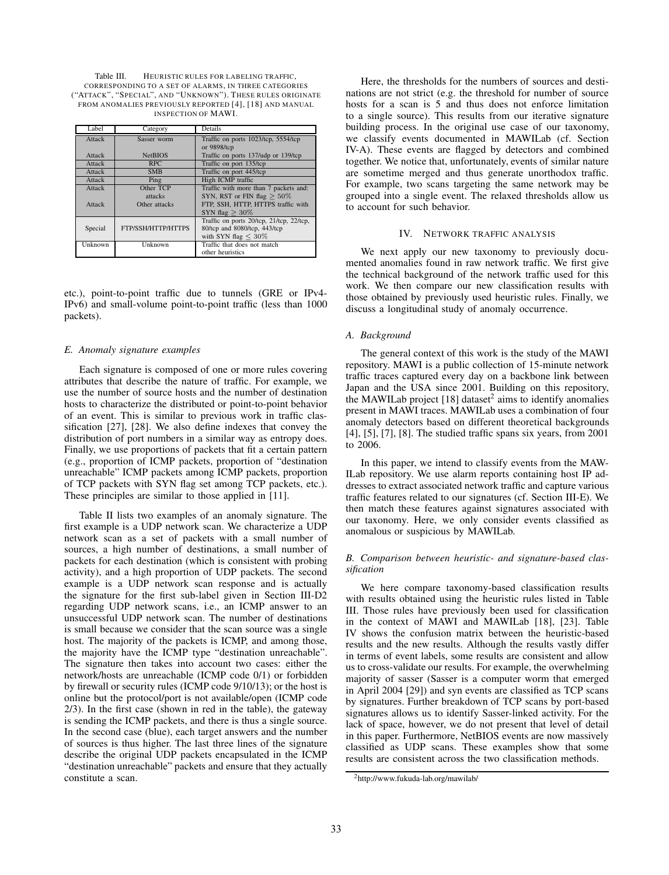Table III. HEURISTIC RULES FOR LABELING TRAFFIC, CORRESPONDING TO A SET OF ALARMS, IN THREE CATEGORIES ("ATTACK", "SPECIAL", AND "UNKNOWN"). THESE RULES ORIGINATE FROM ANOMALIES PREVIOUSLY REPORTED [4], [18] AND MANUAL INSPECTION OF MAWI.

| Label   | Category           | Details                                                                                               |
|---------|--------------------|-------------------------------------------------------------------------------------------------------|
| Attack  | Sasser worm        | Traffic on ports 1023/tcp, 5554/tcp<br>or 9898/tcp                                                    |
| Attack  | <b>NetBIOS</b>     | Traffic on ports 137/udp or 139/tcp                                                                   |
| Attack  | RPC.               | Traffic on port 135/tcp                                                                               |
| Attack  | <b>SMB</b>         | Traffic on port 445/tcp                                                                               |
| Attack  | Ping               | High ICMP traffic                                                                                     |
| Attack  | Other TCP          | Traffic with more than 7 packets and:                                                                 |
|         | attacks            | SYN, RST or FIN flag $> 50\%$                                                                         |
| Attack  | Other attacks      | FTP, SSH, HTTP, HTTPS traffic with                                                                    |
|         |                    | SYN flag $> 30\%$                                                                                     |
| Special | FTP/SSH/HTTP/HTTPS | Traffic on ports 20/tcp, 21/tcp, 22/tcp,<br>80/tcp and 8080/tcp, 443/tcp<br>with SYN flag $\leq 30\%$ |
| Unknown | Unknown            | Traffic that does not match                                                                           |
|         |                    | other heuristics                                                                                      |

etc.), point-to-point traffic due to tunnels (GRE or IPv4- IPv6) and small-volume point-to-point traffic (less than 1000 packets).

#### *E. Anomaly signature examples*

Each signature is composed of one or more rules covering attributes that describe the nature of traffic. For example, we use the number of source hosts and the number of destination hosts to characterize the distributed or point-to-point behavior of an event. This is similar to previous work in traffic classification [27], [28]. We also define indexes that convey the distribution of port numbers in a similar way as entropy does. Finally, we use proportions of packets that fit a certain pattern (e.g., proportion of ICMP packets, proportion of "destination unreachable" ICMP packets among ICMP packets, proportion of TCP packets with SYN flag set among TCP packets, etc.). These principles are similar to those applied in [11].

Table II lists two examples of an anomaly signature. The first example is a UDP network scan. We characterize a UDP network scan as a set of packets with a small number of sources, a high number of destinations, a small number of packets for each destination (which is consistent with probing activity), and a high proportion of UDP packets. The second example is a UDP network scan response and is actually the signature for the first sub-label given in Section III-D2 regarding UDP network scans, i.e., an ICMP answer to an unsuccessful UDP network scan. The number of destinations is small because we consider that the scan source was a single host. The majority of the packets is ICMP, and among those, the majority have the ICMP type "destination unreachable". The signature then takes into account two cases: either the network/hosts are unreachable (ICMP code 0/1) or forbidden by firewall or security rules (ICMP code 9/10/13); or the host is online but the protocol/port is not available/open (ICMP code 2/3). In the first case (shown in red in the table), the gateway is sending the ICMP packets, and there is thus a single source. In the second case (blue), each target answers and the number of sources is thus higher. The last three lines of the signature describe the original UDP packets encapsulated in the ICMP "destination unreachable" packets and ensure that they actually constitute a scan.

Here, the thresholds for the numbers of sources and destinations are not strict (e.g. the threshold for number of source hosts for a scan is 5 and thus does not enforce limitation to a single source). This results from our iterative signature building process. In the original use case of our taxonomy, we classify events documented in MAWILab (cf. Section IV-A). These events are flagged by detectors and combined together. We notice that, unfortunately, events of similar nature are sometime merged and thus generate unorthodox traffic. For example, two scans targeting the same network may be grouped into a single event. The relaxed thresholds allow us to account for such behavior.

# IV. NETWORK TRAFFIC ANALYSIS

We next apply our new taxonomy to previously documented anomalies found in raw network traffic. We first give the technical background of the network traffic used for this work. We then compare our new classification results with those obtained by previously used heuristic rules. Finally, we discuss a longitudinal study of anomaly occurrence.

#### *A. Background*

The general context of this work is the study of the MAWI repository. MAWI is a public collection of 15-minute network traffic traces captured every day on a backbone link between Japan and the USA since 2001. Building on this repository, the MAWILab project  $[18]$  dataset<sup>2</sup> aims to identify anomalies present in MAWI traces. MAWILab uses a combination of four anomaly detectors based on different theoretical backgrounds [4], [5], [7], [8]. The studied traffic spans six years, from 2001 to 2006.

In this paper, we intend to classify events from the MAW-ILab repository. We use alarm reports containing host IP addresses to extract associated network traffic and capture various traffic features related to our signatures (cf. Section III-E). We then match these features against signatures associated with our taxonomy. Here, we only consider events classified as anomalous or suspicious by MAWILab.

### *B. Comparison between heuristic- and signature-based classification*

We here compare taxonomy-based classification results with results obtained using the heuristic rules listed in Table III. Those rules have previously been used for classification in the context of MAWI and MAWILab [18], [23]. Table IV shows the confusion matrix between the heuristic-based results and the new results. Although the results vastly differ in terms of event labels, some results are consistent and allow us to cross-validate our results. For example, the overwhelming majority of sasser (Sasser is a computer worm that emerged in April 2004 [29]) and syn events are classified as TCP scans by signatures. Further breakdown of TCP scans by port-based signatures allows us to identify Sasser-linked activity. For the lack of space, however, we do not present that level of detail in this paper. Furthermore, NetBIOS events are now massively classified as UDP scans. These examples show that some results are consistent across the two classification methods.

<sup>2</sup>http://www.fukuda-lab.org/mawilab/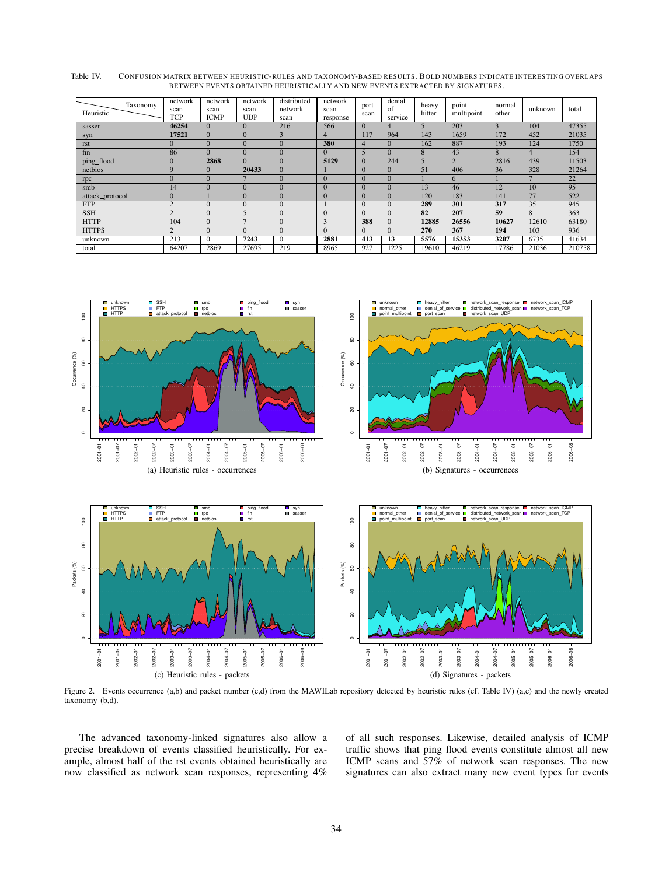Table IV. CONFUS ION MATRIX BETWEEN HEURISTIC-RULES AND TAXONOMY-BASED RESULTS. BOLD NUMBERS INDICATE INTERESTING OVERLAPS BETWEEN EVENTS OBTAINED HEURISTICALLY AND NEW EVENTS EXTRACTED BY SIGNATURES.

| Taxonomy<br>Heuristic | network<br>scan<br>TCP | network<br>scan<br><b>ICMP</b> | network<br>scan<br><b>UDP</b> | distributed<br>network<br>scan | network<br>scan<br>response | port<br>scan   | denial<br>of<br>service | heavy<br>hitter | point<br>multipoint | normal<br>other | unknown | total  |
|-----------------------|------------------------|--------------------------------|-------------------------------|--------------------------------|-----------------------------|----------------|-------------------------|-----------------|---------------------|-----------------|---------|--------|
| sasser                | 46254                  | $\Omega$                       | $\Omega$                      | 216                            | 566                         | $\Omega$       | 4                       | $\mathbf{5}$    | 203                 | 3               | 104     | 47355  |
| syn                   | 17521                  | $\Omega$                       | $\Omega$                      | 3                              | 4                           | 117            | 964                     | 143             | 1659                | 172             | 452     | 21035  |
| rst                   |                        | $\Omega$                       | $\mathbf{0}$                  | $\Omega$                       | 380                         | $\overline{4}$ | $\Omega$                | 162             | 887                 | 193             | 124     | 1750   |
| fin                   | 86                     | $\Omega$                       | $\mathbf{0}$                  | $\Omega$                       | $\Omega$                    | 5              | $\Omega$                | 8               | 43                  | 8               | 4       | 154    |
| ping flood            |                        | 2868                           | $\Omega$                      | $\Omega$                       | 5129                        | $\Omega$       | 244                     |                 | $\overline{2}$      | 2816            | 439     | 11503  |
| netbios               |                        |                                | 20433                         | $\Omega$                       |                             | $\Omega$       | $\Omega$                | 51              | 406                 | 36              | 328     | 21264  |
| rpc                   | $\Omega$               |                                |                               | $\Omega$                       | $\Omega$                    | $\Omega$       | $\Omega$                |                 | 6                   |                 |         | 22     |
| smb                   | 14                     |                                |                               | $\Omega$                       | $\Omega$                    | $\Omega$       | $\Omega$                | 13              | 46                  | 12              | 10      | 95     |
| attack_protocol       |                        |                                | $\Omega$                      | $\Omega$                       | $\Omega$                    | $\Omega$       | $\Omega$                | 120             | 183                 | 141             | 77      | 522    |
| <b>FTP</b>            |                        |                                | $\mathbf{0}$                  | $\Omega$                       |                             | $\Omega$       | $\Omega$                | 289             | 301                 | 317             | 35      | 945    |
| <b>SSH</b>            |                        |                                |                               | $\Omega$                       | $\Omega$                    | $\Omega$       | $\Omega$                | 82              | 207                 | 59              | 8       | 363    |
| <b>HTTP</b>           | 104                    |                                |                               | $\Omega$                       |                             | 388            | $\Omega$                | 12885           | 26556               | 10627           | 12610   | 63180  |
| <b>HTTPS</b>          |                        | $\mathbf{0}$                   | $\Omega$                      | $\theta$                       | $\Omega$                    | $\Omega$       | $\Omega$                | 270             | 367                 | 194             | 103     | 936    |
| unknown               | 213                    | 0                              | 7243                          | $\Omega$                       | 2881                        | 413            | 13                      | 5576            | 15353               | 3207            | 6735    | 41634  |
| total                 | 64207                  | 2869                           | 27695                         | 219                            | 8965                        | 927            | 1225                    | 19610           | 46219               | 17786           | 21036   | 210758 |



Figure 2. Events occurrence (a,b) and packet number (c,d) from the MAWILab repository detected by heuristic rules (cf. Table IV) (a,c) and the newly created taxonomy (b,d).

The advanced taxonomy-linked signatures also allow a precise breakdown of events classified heuristically. For example, almost half of the rst events obtained heuristically are now classified as network scan responses, representing 4%

of all such responses. Likewise, detailed analysis of ICMP traffic shows that ping flood events constitute almost all new ICMP scans and 57% of network scan responses. The new signatures can also extract many new event types for events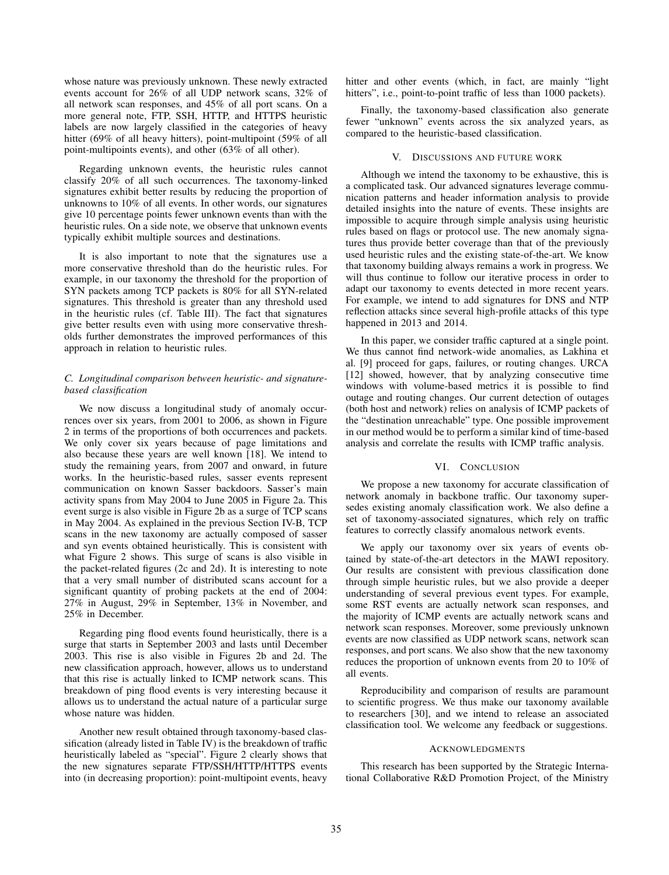whose nature was previously unknown. These newly extracted events account for 26% of all UDP network scans, 32% of all network scan responses, and 45% of all port scans. On a more general note, FTP, SSH, HTTP, and HTTPS heuristic labels are now largely classified in the categories of heavy hitter (69% of all heavy hitters), point-multipoint (59% of all point-multipoints events), and other (63% of all other).

Regarding unknown events, the heuristic rules cannot classify 20% of all such occurrences. The taxonomy-linked signatures exhibit better results by reducing the proportion of unknowns to 10% of all events. In other words, our signatures give 10 percentage points fewer unknown events than with the heuristic rules. On a side note, we observe that unknown events typically exhibit multiple sources and destinations.

It is also important to note that the signatures use a more conservative threshold than do the heuristic rules. For example, in our taxonomy the threshold for the proportion of SYN packets among TCP packets is 80% for all SYN-related signatures. This threshold is greater than any threshold used in the heuristic rules (cf. Table III). The fact that signatures give better results even with using more conservative thresholds further demonstrates the improved performances of this approach in relation to heuristic rules.

# *C. Longitudinal comparison between heuristic- and signaturebased classification*

We now discuss a longitudinal study of anomaly occurrences over six years, from 2001 to 2006, as shown in Figure 2 in terms of the proportions of both occurrences and packets. We only cover six years because of page limitations and also because these years are well known [18]. We intend to study the remaining years, from 2007 and onward, in future works. In the heuristic-based rules, sasser events represent communication on known Sasser backdoors. Sasser's main activity spans from May 2004 to June 2005 in Figure 2a. This event surge is also visible in Figure 2b as a surge of TCP scans in May 2004. As explained in the previous Section IV-B, TCP scans in the new taxonomy are actually composed of sasser and syn events obtained heuristically. This is consistent with what Figure 2 shows. This surge of scans is also visible in the packet-related figures (2c and 2d). It is interesting to note that a very small number of distributed scans account for a significant quantity of probing packets at the end of 2004: 27% in August, 29% in September, 13% in November, and 25% in December.

Regarding ping flood events found heuristically, there is a surge that starts in September 2003 and lasts until December 2003. This rise is also visible in Figures 2b and 2d. The new classification approach, however, allows us to understand that this rise is actually linked to ICMP network scans. This breakdown of ping flood events is very interesting because it allows us to understand the actual nature of a particular surge whose nature was hidden.

Another new result obtained through taxonomy-based classification (already listed in Table IV) is the breakdown of traffic heuristically labeled as "special". Figure 2 clearly shows that the new signatures separate FTP/SSH/HTTP/HTTPS events into (in decreasing proportion): point-multipoint events, heavy

hitter and other events (which, in fact, are mainly "light hitters", i.e., point-to-point traffic of less than 1000 packets).

Finally, the taxonomy-based classification also generate fewer "unknown" events across the six analyzed years, as compared to the heuristic-based classification.

#### V. DISCUSSIONS AND FUTURE WORK

Although we intend the taxonomy to be exhaustive, this is a complicated task. Our advanced signatures leverage communication patterns and header information analysis to provide detailed insights into the nature of events. These insights are impossible to acquire through simple analysis using heuristic rules based on flags or protocol use. The new anomaly signatures thus provide better coverage than that of the previously used heuristic rules and the existing state-of-the-art. We know that taxonomy building always remains a work in progress. We will thus continue to follow our iterative process in order to adapt our taxonomy to events detected in more recent years. For example, we intend to add signatures for DNS and NTP reflection attacks since several high-profile attacks of this type happened in 2013 and 2014.

In this paper, we consider traffic captured at a single point. We thus cannot find network-wide anomalies, as Lakhina et al. [9] proceed for gaps, failures, or routing changes. URCA [12] showed, however, that by analyzing consecutive time windows with volume-based metrics it is possible to find outage and routing changes. Our current detection of outages (both host and network) relies on analysis of ICMP packets of the "destination unreachable" type. One possible improvement in our method would be to perform a similar kind of time-based analysis and correlate the results with ICMP traffic analysis.

#### VI. CONCLUSION

We propose a new taxonomy for accurate classification of network anomaly in backbone traffic. Our taxonomy supersedes existing anomaly classification work. We also define a set of taxonomy-associated signatures, which rely on traffic features to correctly classify anomalous network events.

We apply our taxonomy over six years of events obtained by state-of-the-art detectors in the MAWI repository. Our results are consistent with previous classification done through simple heuristic rules, but we also provide a deeper understanding of several previous event types. For example, some RST events are actually network scan responses, and the majority of ICMP events are actually network scans and network scan responses. Moreover, some previously unknown events are now classified as UDP network scans, network scan responses, and port scans. We also show that the new taxonomy reduces the proportion of unknown events from 20 to 10% of all events.

Reproducibility and comparison of results are paramount to scientific progress. We thus make our taxonomy available to researchers [30], and we intend to release an associated classification tool. We welcome any feedback or suggestions.

# ACKNOWLEDGMENTS

This research has been supported by the Strategic International Collaborative R&D Promotion Project, of the Ministry